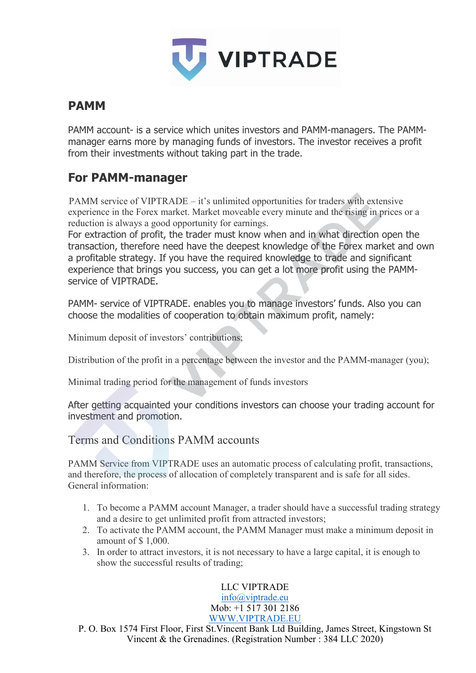

## **PAMM**

PAMM account- is a service which unites investors and PAMM-managers. The PAMMmanager earns more by managing funds of investors. The investor receives a profit from their investments without taking part in the trade.

# **For PAMM-manager**

PAMM service of VIPTRADE – it's unlimited opportunities for traders with extensive experience in the Forex market. Market moveable every minute and the rising in prices or a reduction is always a good opportunity for earnings.

For extraction of profit, the trader must know when and in what direction open the transaction, therefore need have the deepest knowledge of the Forex market and own a profitable strategy. If you have the required knowledge to trade and significant experience that brings you success, you can get a lot more profit using the PAMMservice of VIPTRADE.

PAMM- service of VIPTRADE. enables you to manage investors' funds. Also you can choose the modalities of cooperation to obtain maximum profit, namely:

Minimum deposit of investors' contributions;

Distribution of the profit in a percentage between the investor and the PAMM-manager (you);

Minimal trading period for the management of funds investors

After getting acquainted your conditions investors can choose your trading account for investment and promotion.

Terms and Conditions PAMM accounts

PAMM Service from VIPTRADE uses an automatic process of calculating profit, transactions, and therefore, the process of allocation of completely transparent and is safe for all sides. General information:

- 1. To become a PAMM account Manager, a trader should have a successful trading strategy and a desire to get unlimited profit from attracted investors;
- 2. To activate the PAMM account, the PAMM Manager must make a minimum deposit in amount of \$ 1,000.
- 3. In order to attract investors, it is not necessary to have a large capital, it is enough to show the successful results of trading;

LLC VIPTRADE [info@viptrade.eu](mailto:info@viptrade.eu) Mob: +1 517 301 2186 [WWW.VIPTRADE.EU](http://www.viptrade.eu/)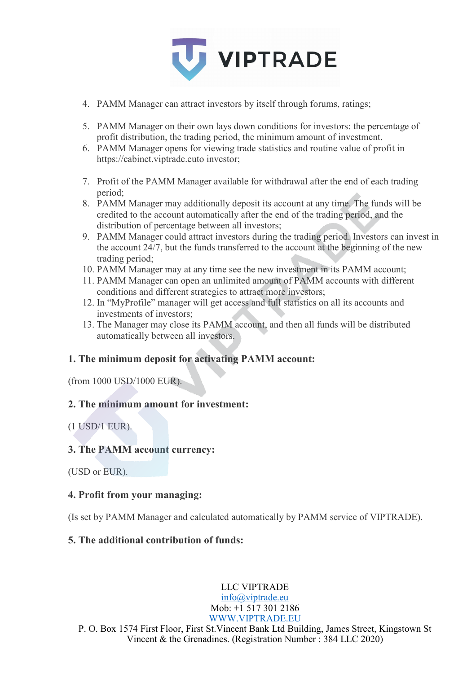

- 4. PAMM Manager can attract investors by itself through forums, ratings;
- 5. PAMM Manager on their own lays down conditions for investors: the percentage of profit distribution, the trading period, the minimum amount of investment.
- 6. PAMM Manager opens for viewing trade statistics and routine value of profit in https://cabinet.viptrade.euto investor;
- 7. Profit of the PAMM Manager available for withdrawal after the end of each trading period;
- 8. PAMM Manager may additionally deposit its account at any time. The funds will be credited to the account automatically after the end of the trading period, and the distribution of percentage between all investors;
- 9. PAMM Manager could attract investors during the trading period. Investors can invest in the account 24/7, but the funds transferred to the account at the beginning of the new trading period;
- 10. PAMM Manager may at any time see the new investment in its PAMM account;
- 11. PAMM Manager can open an unlimited amount of PAMM accounts with different conditions and different strategies to attract more investors;
- 12. In "MyProfile" manager will get access and full statistics on all its accounts and investments of investors;
- 13. The Manager may close its PAMM account, and then all funds will be distributed automatically between all investors.

#### **1. The minimum deposit for activating PAMM account:**

(from 1000 USD/1000 EUR).

#### **2. The minimum amount for investment:**

#### (1 USD/1 EUR).

#### **3. The PAMM account currency:**

(USD or EUR).

#### **4. Profit from your managing:**

(Is set by PAMM Manager and calculated automatically by PAMM service of VIPTRADE).

#### **5. The additional contribution of funds:**

LLC VIPTRADE [info@viptrade.eu](mailto:info@viptrade.eu) Mob: +1 517 301 2186 [WWW.VIPTRADE.EU](http://www.viptrade.eu/)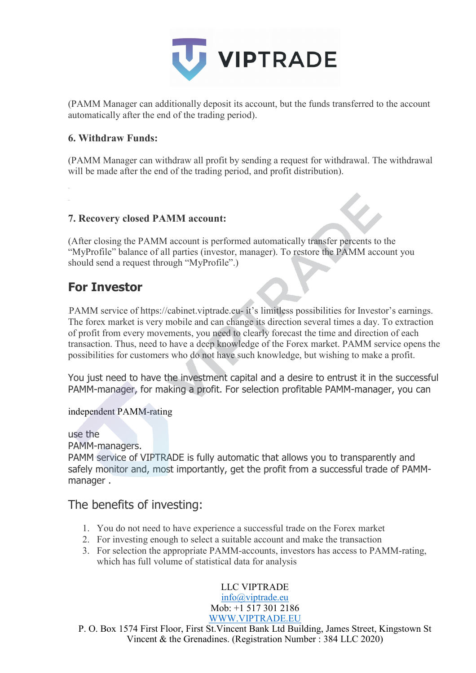

(PAMM Manager can additionally deposit its account, but the funds transferred to the account automatically after the end of the trading period).

#### **6. Withdraw Funds:**

(PAMM Manager can withdraw all profit by sending a request for withdrawal. The withdrawal will be made after the end of the trading period, and profit distribution).

#### **7. Recovery closed PAMM account:**

(After closing the PAMM account is performed automatically transfer percents to the "MyProfile" balance of all parties (investor, manager). To restore the PAMM account you should send a request through "MyProfile".)

## **For Investor**

PAMM service of https://cabinet.viptrade.eu- it's limitless possibilities for Investor's earnings. The forex market is very mobile and can change its direction several times a day. To extraction of profit from every movements, you need to clearly forecast the time and direction of each transaction. Thus, need to have a deep knowledge of the Forex market. PAMM service opens the possibilities for customers who do not have such knowledge, but wishing to make a profit.

You just need to have the investment capital and a desire to entrust it in the successful PAMM-manager, for making a profit. For selection profitable PAMM-manager, you can

independent PAMM-rating

use the

PAMM-managers.

PAMM service of VIPTRADE is fully automatic that allows you to transparently and safely monitor and, most importantly, get the profit from a successful trade of PAMMmanager .

## The benefits of investing:

- 1. You do not need to have experience a successful trade on the Forex market
- 2. For investing enough to select a suitable account and make the transaction
- 3. For selection the appropriate PAMM-accounts, investors has access to PAMM-rating, which has full volume of statistical data for analysis

LLC VIPTRADE

[info@viptrade.eu](mailto:info@viptrade.eu) Mob: +1 517 301 2186 [WWW.VIPTRADE.EU](http://www.viptrade.eu/)